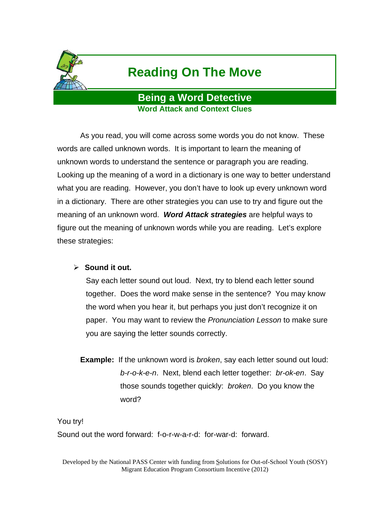

# **Reading On The Move**

### **Being a Word Detective Word Attack and Context Clues**

As you read, you will come across some words you do not know. These words are called unknown words. It is important to learn the meaning of unknown words to understand the sentence or paragraph you are reading. Looking up the meaning of a word in a dictionary is one way to better understand what you are reading. However, you don't have to look up every unknown word in a dictionary. There are other strategies you can use to try and figure out the meaning of an unknown word. *Word Attack strategies* are helpful ways to figure out the meaning of unknown words while you are reading. Let's explore these strategies:

### **Sound it out.**

Say each letter sound out loud. Next, try to blend each letter sound together. Does the word make sense in the sentence? You may know the word when you hear it, but perhaps you just don't recognize it on paper. You may want to review the *Pronunciation Lesson* to make sure you are saying the letter sounds correctly.

**Example:** If the unknown word is *broken*, say each letter sound out loud: *b-r-o-k-e-n*. Next, blend each letter together: *br-ok-en*. Say those sounds together quickly: *broken*. Do you know the word?

You try!

Sound out the word forward: f-o-r-w-a-r-d: for-war-d: forward.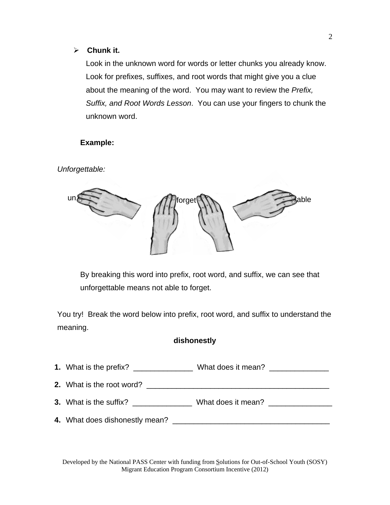### **Chunk it.**

Look in the unknown word for words or letter chunks you already know. Look for prefixes, suffixes, and root words that might give you a clue about the meaning of the word. You may want to review the *Prefix, Suffix, and Root Words Lesson*. You can use your fingers to chunk the unknown word.

### **Example:**

*Unforgettable:* 



By breaking this word into prefix, root word, and suffix, we can see that unforgettable means not able to forget.

You try! Break the word below into prefix, root word, and suffix to understand the meaning.

### **dishonestly**

|                                  | What does it mean? ______________ |  |
|----------------------------------|-----------------------------------|--|
| <b>2.</b> What is the root word? |                                   |  |
| 3. What is the suffix?           | What does it mean?                |  |
|                                  |                                   |  |

Developed by the National PASS Center with funding from Solutions for Out-of-School Youth (SOSY) Migrant Education Program Consortium Incentive (2012)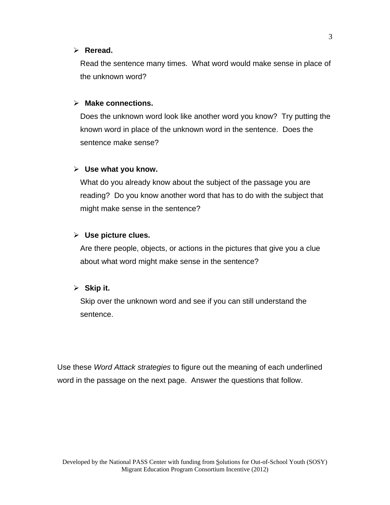#### **Reread.**

Read the sentence many times. What word would make sense in place of the unknown word?

#### **Make connections.**

Does the unknown word look like another word you know? Try putting the known word in place of the unknown word in the sentence. Does the sentence make sense?

#### **Use what you know.**

What do you already know about the subject of the passage you are reading? Do you know another word that has to do with the subject that might make sense in the sentence?

#### **Use picture clues.**

Are there people, objects, or actions in the pictures that give you a clue about what word might make sense in the sentence?

#### **Skip it.**

Skip over the unknown word and see if you can still understand the sentence.

Use these *Word Attack strategies* to figure out the meaning of each underlined word in the passage on the next page. Answer the questions that follow.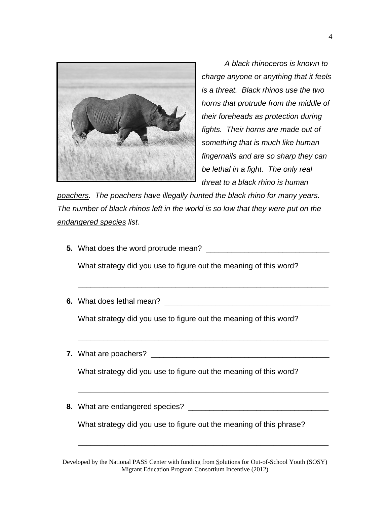

*A black rhinoceros is known to charge anyone or anything that it feels is a threat. Black rhinos use the two horns that protrude from the middle of their foreheads as protection during fights. Their horns are made out of something that is much like human fingernails and are so sharp they can be lethal in a fight. The only real threat to a black rhino is human* 

*poachers. The poachers have illegally hunted the black rhino for many years. The number of black rhinos left in the world is so low that they were put on the endangered species list.* 

**5.** What does the word protrude mean? \_\_\_\_\_\_\_\_\_\_\_\_\_\_\_\_\_\_\_\_\_\_\_\_\_\_\_\_\_

What strategy did you use to figure out the meaning of this word?

**6.** What does lethal mean? **Example 20** and the state of the state of the state of the state of the state of the state of the state of the state of the state of the state of the state of the state of the state of the stat

\_\_\_\_\_\_\_\_\_\_\_\_\_\_\_\_\_\_\_\_\_\_\_\_\_\_\_\_\_\_\_\_\_\_\_\_\_\_\_\_\_\_\_\_\_\_\_\_\_\_\_\_\_\_\_\_\_\_\_

\_\_\_\_\_\_\_\_\_\_\_\_\_\_\_\_\_\_\_\_\_\_\_\_\_\_\_\_\_\_\_\_\_\_\_\_\_\_\_\_\_\_\_\_\_\_\_\_\_\_\_\_\_\_\_\_\_\_\_

\_\_\_\_\_\_\_\_\_\_\_\_\_\_\_\_\_\_\_\_\_\_\_\_\_\_\_\_\_\_\_\_\_\_\_\_\_\_\_\_\_\_\_\_\_\_\_\_\_\_\_\_\_\_\_\_\_\_\_

\_\_\_\_\_\_\_\_\_\_\_\_\_\_\_\_\_\_\_\_\_\_\_\_\_\_\_\_\_\_\_\_\_\_\_\_\_\_\_\_\_\_\_\_\_\_\_\_\_\_\_\_\_\_\_\_\_\_\_

What strategy did you use to figure out the meaning of this word?

**7.** What are poachers? \_\_\_\_\_\_\_\_\_\_\_\_\_\_\_\_\_\_\_\_\_\_\_\_\_\_\_\_\_\_\_\_\_\_\_\_\_\_\_\_\_\_

What strategy did you use to figure out the meaning of this word?

**8.** What are endangered species? \_\_\_\_\_\_\_\_\_\_\_\_\_\_\_\_\_\_\_\_\_\_\_\_\_\_\_\_\_\_\_\_\_

What strategy did you use to figure out the meaning of this phrase?

Developed by the National PASS Center with funding from Solutions for Out-of-School Youth (SOSY) Migrant Education Program Consortium Incentive (2012)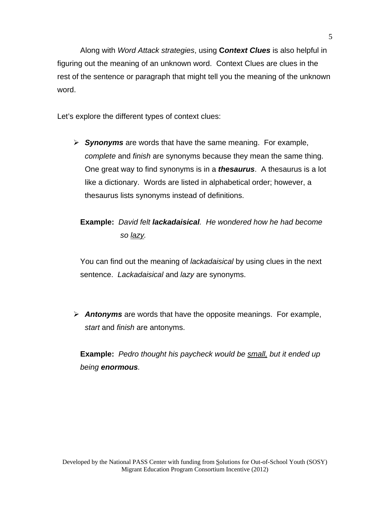Along with *Word Attack strategies*, using **C***ontext Clues* is also helpful in figuring out the meaning of an unknown word. Context Clues are clues in the rest of the sentence or paragraph that might tell you the meaning of the unknown word.

Let's explore the different types of context clues:

 *Synonyms* are words that have the same meaning. For example, *complete* and *finish* are synonyms because they mean the same thing. One great way to find synonyms is in a *thesaurus*. A thesaurus is a lot like a dictionary. Words are listed in alphabetical order; however, a thesaurus lists synonyms instead of definitions.

# **Example:** *David felt lackadaisical. He wondered how he had become so lazy.*

You can find out the meaning of *lackadaisical* by using clues in the next sentence. *Lackadaisical* and *lazy* are synonyms.

 *Antonyms* are words that have the opposite meanings. For example, *start* and *finish* are antonyms.

**Example:** *Pedro thought his paycheck would be small, but it ended up being enormous.*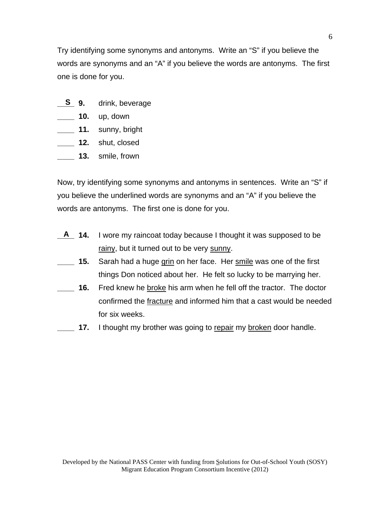Try identifying some synonyms and antonyms. Write an "S" if you believe the words are synonyms and an "A" if you believe the words are antonyms. The first one is done for you.

- **\_\_\_\_ 9.** drink, beverage **S**
- **\_\_\_\_ 10.** up, down
- **\_\_\_\_ 11.** sunny, bright
- **\_\_\_\_ 12.** shut, closed
- **\_\_\_\_ 13.** smile, frown

Now, try identifying some synonyms and antonyms in sentences. Write an "S" if you believe the underlined words are synonyms and an "A" if you believe the words are antonyms. The first one is done for you.

- **\_\_\_\_ 14.** I wore my raincoat today because I thought it was supposed to be rainy, but it turned out to be very sunny. **A**
- **\_\_\_\_ 15.** Sarah had a huge grin on her face. Her smile was one of the first things Don noticed about her. He felt so lucky to be marrying her.
- **\_\_\_\_ 16.** Fred knew he broke his arm when he fell off the tractor. The doctor confirmed the fracture and informed him that a cast would be needed for six weeks.
- **17.** I thought my brother was going to repair my broken door handle.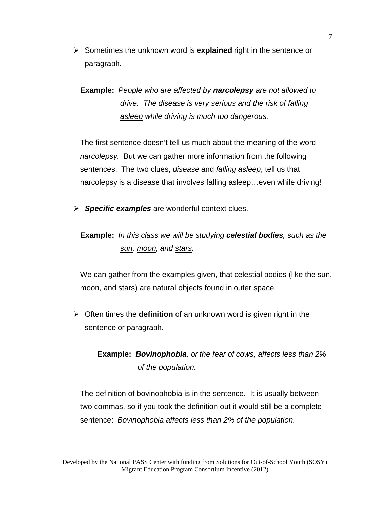Sometimes the unknown word is **explained** right in the sentence or paragraph.

**Example:** *People who are affected by narcolepsy are not allowed to drive. The disease is very serious and the risk of falling asleep while driving is much too dangerous.* 

The first sentence doesn't tell us much about the meaning of the word *narcolepsy.* But we can gather more information from the following sentences. The two clues, *disease* and *falling asleep*, tell us that narcolepsy is a disease that involves falling asleep…even while driving!

*Specific examples* are wonderful context clues.

## **Example:** *In this class we will be studying celestial bodies, such as the sun, moon, and stars.*

We can gather from the examples given, that celestial bodies (like the sun, moon, and stars) are natural objects found in outer space.

 Often times the **definition** of an unknown word is given right in the sentence or paragraph.

# **Example:** *Bovinophobia, or the fear of cows, affects less than 2% of the population.*

The definition of bovinophobia is in the sentence. It is usually between two commas, so if you took the definition out it would still be a complete sentence: *Bovinophobia affects less than 2% of the population.*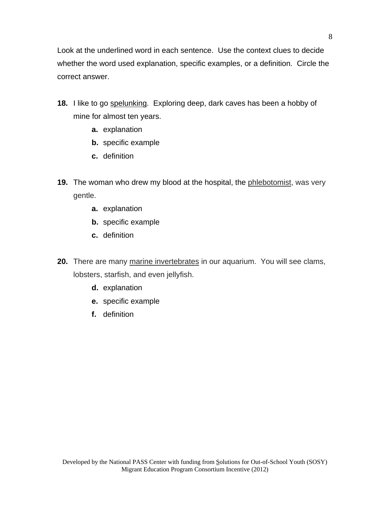Look at the underlined word in each sentence. Use the context clues to decide whether the word used explanation, specific examples, or a definition. Circle the correct answer.

- **18.** I like to go spelunking. Exploring deep, dark caves has been a hobby of mine for almost ten years.
	- **a.** explanation
	- **b.** specific example
	- **c.** definition
- **19.** The woman who drew my blood at the hospital, the phlebotomist, was very gentle.
	- **a.** explanation
	- **b.** specific example
	- **c.** definition
- **20.** There are many marine invertebrates in our aquarium. You will see clams, lobsters, starfish, and even jellyfish.
	- **d.** explanation
	- **e.** specific example
	- **f.** definition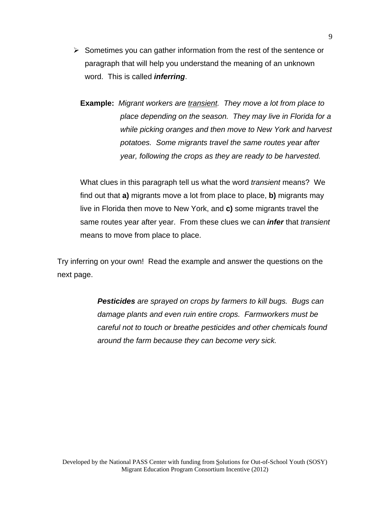- $\triangleright$  Sometimes you can gather information from the rest of the sentence or paragraph that will help you understand the meaning of an unknown word. This is called *inferring*.
	- **Example:** *Migrant workers are transient. They move a lot from place to place depending on the season. They may live in Florida for a while picking oranges and then move to New York and harvest potatoes. Some migrants travel the same routes year after year, following the crops as they are ready to be harvested.*

What clues in this paragraph tell us what the word *transient* means? We find out that **a)** migrants move a lot from place to place, **b)** migrants may live in Florida then move to New York, and **c)** some migrants travel the same routes year after year. From these clues we can *infer* that *transient* means to move from place to place.

Try inferring on your own! Read the example and answer the questions on the next page.

> *Pesticides are sprayed on crops by farmers to kill bugs. Bugs can damage plants and even ruin entire crops. Farmworkers must be careful not to touch or breathe pesticides and other chemicals found around the farm because they can become very sick.*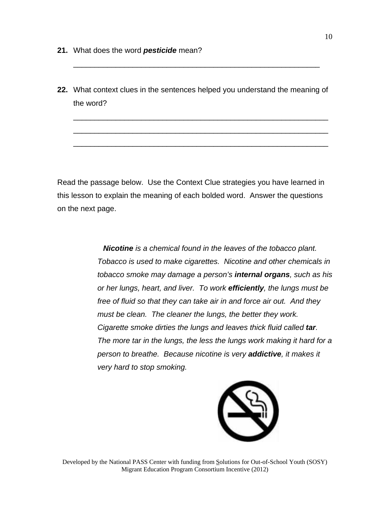- **21.** What does the word *pesticide* mean?
- **22.** What context clues in the sentences helped you understand the meaning of the word?

\_\_\_\_\_\_\_\_\_\_\_\_\_\_\_\_\_\_\_\_\_\_\_\_\_\_\_\_\_\_\_\_\_\_\_\_\_\_\_\_\_\_\_\_\_\_\_\_\_\_\_\_\_\_\_\_\_\_\_\_

\_\_\_\_\_\_\_\_\_\_\_\_\_\_\_\_\_\_\_\_\_\_\_\_\_\_\_\_\_\_\_\_\_\_\_\_\_\_\_\_\_\_\_\_\_\_\_\_\_\_\_\_\_\_\_\_\_\_\_\_

\_\_\_\_\_\_\_\_\_\_\_\_\_\_\_\_\_\_\_\_\_\_\_\_\_\_\_\_\_\_\_\_\_\_\_\_\_\_\_\_\_\_\_\_\_\_\_\_\_\_\_\_\_\_\_\_\_\_\_\_

\_\_\_\_\_\_\_\_\_\_\_\_\_\_\_\_\_\_\_\_\_\_\_\_\_\_\_\_\_\_\_\_\_\_\_\_\_\_\_\_\_\_\_\_\_\_\_\_\_\_\_\_\_\_\_\_\_\_

Read the passage below. Use the Context Clue strategies you have learned in this lesson to explain the meaning of each bolded word. Answer the questions on the next page.

> *Nicotine is a chemical found in the leaves of the tobacco plant. Tobacco is used to make cigarettes. Nicotine and other chemicals in tobacco smoke may damage a person's internal organs, such as his or her lungs, heart, and liver. To work efficiently, the lungs must be free of fluid so that they can take air in and force air out. And they must be clean. The cleaner the lungs, the better they work. Cigarette smoke dirties the lungs and leaves thick fluid called tar. The more tar in the lungs, the less the lungs work making it hard for a person to breathe. Because nicotine is very addictive, it makes it very hard to stop smoking.*



Developed by the National PASS Center with funding from Solutions for Out-of-School Youth (SOSY) Migrant Education Program Consortium Incentive (2012)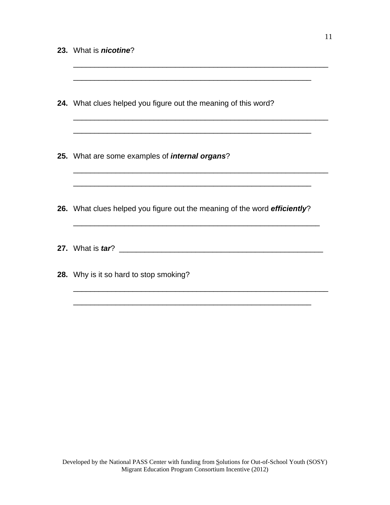| 24. What clues helped you figure out the meaning of this word?            |
|---------------------------------------------------------------------------|
| 25. What are some examples of <i>internal organs</i> ?                    |
| 26. What clues helped you figure out the meaning of the word efficiently? |
| 27. What is <i>tar</i> ?                                                  |
| 28. Why is it so hard to stop smoking?                                    |

\_\_\_\_\_\_\_\_\_\_\_\_\_\_\_\_\_\_\_\_\_\_\_\_\_\_\_\_\_\_\_\_\_\_\_\_\_\_\_\_\_\_\_\_\_\_\_\_\_\_\_\_\_\_\_\_

\_\_\_\_\_\_\_\_\_\_\_\_\_\_\_\_\_\_\_\_\_\_\_\_\_\_\_\_\_\_\_\_\_\_\_\_\_\_\_\_\_\_\_\_\_\_\_\_\_\_\_\_\_\_\_\_\_\_\_\_

\_\_\_\_\_\_\_\_\_\_\_\_\_\_\_\_\_\_\_\_\_\_\_\_\_\_\_\_\_\_\_\_\_\_\_\_\_\_\_\_\_\_\_\_\_\_\_\_\_\_\_\_\_\_\_\_